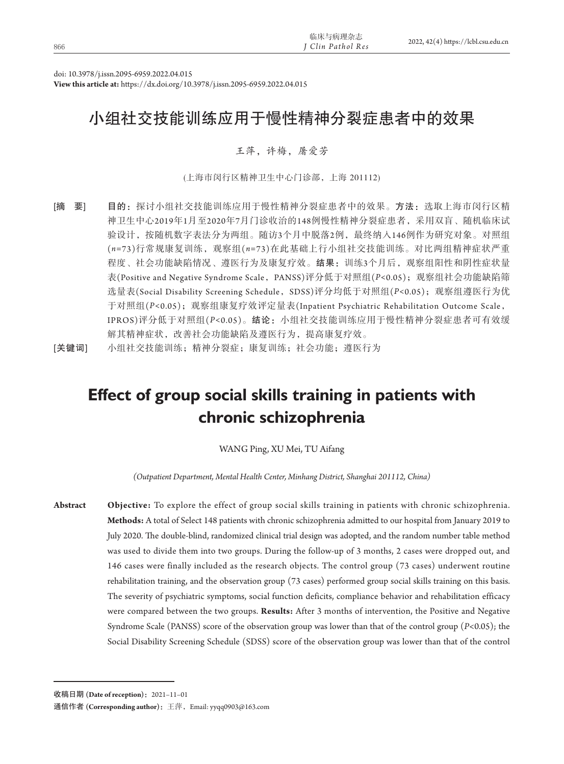| 临床与病理杂志<br>2022, 42(4) https://lcbl.csu.edu.cn<br><sup>I</sup> Clin Pathol Res<br>866 |
|---------------------------------------------------------------------------------------|
|                                                                                       |

doi: 10.3978/j.issn.2095-6959.2022.04.015

**View this article at:** https://dx.doi.org/10.3978/j.issn.2095-6959.2022.04.015

# 小组社交技能训练应用于慢性精神分裂症患者中的效果

# 王萍,许梅,屠爱芳

(上海市闵行区精神卫生中心门诊部,上海 201112)

[摘 要] 目的: 探讨小组社交技能训练应用于慢性精神分裂症患者中的效果。方法: 选取上海市闵行区精 神卫生中心2019年1月至2020年7月门诊收治的148例慢性精神分裂症患者,采用双盲、随机临床试 验设计,按随机数字表法分为两组。随访3个月中脱落2例,最终纳入146例作为研究对象。对照组 (*n=*73)行常规康复训练,观察组(*n=*73)在此基础上行小组社交技能训练。对比两组精神症状严重 程度、社会功能缺陷情况、遵医行为及康复疗效。结果:训练3个月后,观察组阳性和阴性症状量 表(Positive and Negative Syndrome Scale,PANSS)评分低于对照组(*P<*0.05);观察组社会功能缺陷筛 选量表(Social Disability Screening Schedule,SDSS)评分均低于对照组(*P<*0.05);观察组遵医行为优 于对照组(*P<*0.05);观察组康复疗效评定量表(Inpatient Psychiatric Rehabilitation Outcome Scale, IPROS)评分低于对照组(*P<*0.05)。结论:小组社交技能训练应用于慢性精神分裂症患者可有效缓 解其精神症状,改善社会功能缺陷及遵医行为,提高康复疗效。

[关键词] 小组社交技能训练;精神分裂症;康复训练;社会功能;遵医行为

# **Effect of group social skills training in patients with chronic schizophrenia**

# WANG Ping, XU Mei, TU Aifang

*(Outpatient Department, Mental Health Center, Minhang District, Shanghai 201112, China)*

**Abstract Objective:** To explore the effect of group social skills training in patients with chronic schizophrenia. **Methods:** A total of Select 148 patients with chronic schizophrenia admitted to our hospital from January 2019 to July 2020. The double-blind, randomized clinical trial design was adopted, and the random number table method was used to divide them into two groups. During the follow-up of 3 months, 2 cases were dropped out, and 146 cases were finally included as the research objects. The control group (73 cases) underwent routine rehabilitation training, and the observation group (73 cases) performed group social skills training on this basis. The severity of psychiatric symptoms, social function deficits, compliance behavior and rehabilitation efficacy were compared between the two groups. **Results:** After 3 months of intervention, the Positive and Negative Syndrome Scale (PANSS) score of the observation group was lower than that of the control group (*P<*0.05); the Social Disability Screening Schedule (SDSS) score of the observation group was lower than that of the control

收稿日期 **(Date of reception)**:2021–11–01

通信作者 **(Corresponding author)**:王萍,Email: yyqq0903@163.com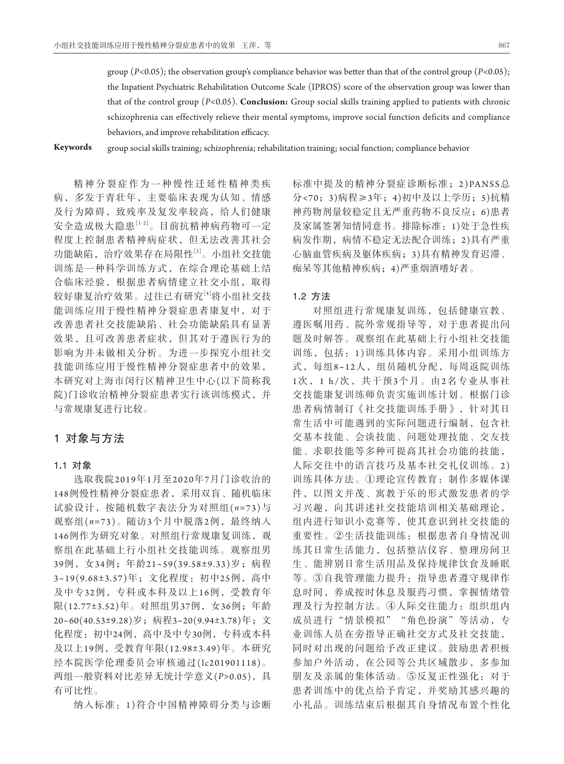group (*P<*0.05); the observation group's compliance behavior was better than that of the control group (*P<*0.05); the Inpatient Psychiatric Rehabilitation Outcome Scale (IPROS) score of the observation group was lower than that of the control group (*P<*0.05). **Conclusion:** Group social skills training applied to patients with chronic schizophrenia can effectively relieve their mental symptoms, improve social function deficits and compliance behaviors, and improve rehabilitation efficacy.

**Keywords** group social skills training; schizophrenia; rehabilitation training; social function; compliance behavior

精神分裂症作为一种慢性迁延性精神类疾 病,多发于青壮年,主要临床表现为认知、情感 及行为障碍,致残率及复发率较高,给人们健康 安全造成极大隐患[1-2]。目前抗精神病药物可一定 程度上控制患者精神病症状,但无法改善其社会 功能缺陷,治疗效果存在局限性[3]。小组社交技能 训练是一种科学训练方式,在综合理论基础上结 合临床经验,根据患者病情建立社交小组,取得 较好康复治疗效果。过往已有研究[4]将小组社交技 能训练应用于慢性精神分裂症患者康复中,对于 改善患者社交技能缺陷、社会功能缺陷具有显著 效果,且可改善患者症状,但其对于遵医行为的 影响为并未做相关分析。为进一步探究小组社交 技能训练应用于慢性精神分裂症患者中的效果, 本研究对上海市闵行区精神卫生中心(以下简称我 院)门诊收治精神分裂症患者实行该训练模式,并 与常规康复进行比较。

# 1对象与方法

#### 1**.**1对象

选取我院2019年1月至2020年7月门诊收治的 148例慢性精神分裂症患者,采用双盲、随机临床 试验设计,按随机数字表法分为对照组(*n=*73)与 观察组(*n=*73)。随访3个月中脱落2例,最终纳入 146例作为研究对象。对照组行常规康复训练,观 察组在此基础上行小组社交技能训练。观察组男 39例,女34例;年龄21~59(39.58±9.33)岁;病程 3~19(9.68±3.57)年;文化程度:初中25例,高中 及中专32例,专科或本科及以上16例,受教育年 限(12.77±3.52)年。对照组男37例, 女36例; 年龄 20~60(40.53±9.28)岁;病程3~20(9.94±3.78)年;文 化程度:初中24例,高中及中专30例,专科或本科 及以上19例,受教育年限(12.98±3.49)年。本研究 经本院医学伦理委员会审核通过(lc201901118)。 两组一般资料对比差异无统计学意义(*P>*0.05),具 有可比性。

纳入标准:1 )符合中国精神障碍分类与诊断

标准中提及的精神分裂症诊断标准;2)PANSS总 分<70;3)病程≥3年;4)初中及以上学历;5)抗精 神药物剂量较稳定且无严重药物不良反应;6)患者 及家属签署知情同意书。排除标准:1)处于急性疾 病发作期,病情不稳定无法配合训练;2)具有严重 心脑血管疾病及躯体疾病;3)具有精神发育迟滞、 痴呆等其他精神疾病;4)严重烟酒嗜好者。

## 1**.**2方法

对照组进行常规康复训练,包括健康宣教、 遵医嘱用药、院外常规指导等,对于患者提出问 题及时解答。观察组在此基础上行小组社交技能 训练,包括:1 )训练具体内容。采用小组训练方 式,每组8~12人,组员随机分配,每周返院训练 1次 ,1 h/次,共干预3个月。由2名专业从事社 交技能康复训练师负责实施训练计划。根据门诊 患者病情制订《社交技能训练手册》,针对其日 常生活中可能遇到的实际问题进行编制,包含社 交基本技能、会谈技能、问题处理技能、交友技 能、求职技能等多种可提高其社会功能的技能, 人际交往中的语言技巧及基本社交礼仪训练。2 ) 训练具体方法。①理论宣传教育:制作多媒体课 件,以图文并茂、寓教于乐的形式激发患者的学 习兴趣,向其讲述社交技能培训相关基础理论, 组内进行知识小竞赛等,使其意识到社交技能的 重要性。②生活技能训练:根据患者自身情况训 练其日常生活能力,包括整洁仪容、整理房间卫 生、能辨别日常生活用品及保持规律饮食及睡眠 等。③自我管理能力提升:指导患者遵守规律作 息时间,养成按时休息及服药习惯,掌握情绪管 理及行为控制方法。4人际交往能力: 组织组内 成员进行"情景模拟""角色扮演"等活动,专 业训练人员在旁指导正确社交方式及社交技能, 同时对出现的问题给予改正建议。鼓励患者积极 参加户外活动,在公园等公共区域散步,多参加 朋友及亲属的集体活动。⑤反复正性强化:对于 患者训练中的优点给予肯定,并奖励其感兴趣的 小礼品。训练结束后根据其自身情况布置个性化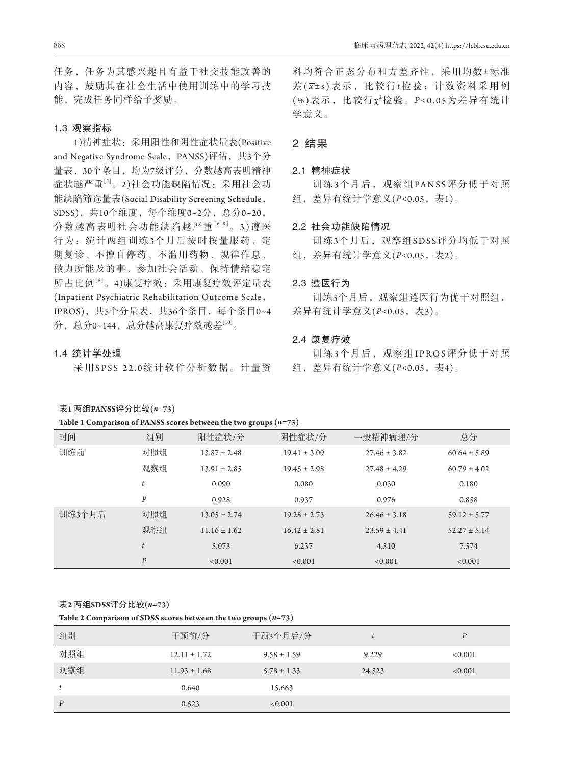任务,任务为其感兴趣且有益于社交技能改善的 内容,鼓励其在社会生活中使用训练中的学习技 能,完成任务同样给予奖励。

## 1**.**3观察指标

1)精神症状:采用阳性和阴性症状量表(Positive and Negative Syndrome Scale, PANSS)评估, 共3个分 量表,30个条目,均为7级评分,分数越高表明精神 症状越严重[5]。2)社会功能缺陷情况:采用社会功 能缺陷筛选量表(Social Disability Screening Schedule, SDSS),共10个维度,每个维度0~2分,总分0~20, 分数越高表明社会功能缺陷越严重[6-8]。3 )遵 医 行为:统计两组训练3个月后按时按量服药、定 期复诊、不擅自停药、不滥用药物、规律作息、 做力所能及的事、参加社会活动、保持情绪稳定 所占比例[9]。4)康复疗效:采用康复疗效评定量表 (Inpatient Psychiatric Rehabilitation Outcome Scale, IPROS),共5个分量表,共36个条目,每个条目0~4 分,总分0~144,总分越高康复疗效越差[10]。

### 1**.**4统计学处理

采 用SPSS 22.0统计软件分析数据。计量资

#### 表**1** 两组**PANSS**评分比较**(***n=***73)**

| Table 1 Comparison of PANSS scores between the two groups $(n=73)$ |  |  |
|--------------------------------------------------------------------|--|--|
|--------------------------------------------------------------------|--|--|

料均符合正态分布和方差齐性,采用均数±标准 差( *x* ± *s* )表示,比较行*t*检验;计数资料采用例 (%)表示, 比较行χ2检验。P<0.05为差异有统计 学意义。

# 2结果

## 2**.**1精神症状

训练3个月后,观察组PANSS评分低于对照 组,差异有统计学意义(*P<*0.05,表1)。

## 2**.**2社会功能缺陷情况

训练3个月后,观察组SDSS评分均低于对照 组,差异有统计学意义(*P<*0.05,表2)。

# 2**.**3遵医行为

训练3个月后,观察组遵医行为优于对照组, 差异有统计学意义(P<0.05,表3)。

## 2**.**4康复疗效

训练3个月后, 观察组IPROS评分低于对照 组,差异有统计学意义(*P<*0.05,表4)。

|        |                  | Table 1 Comparison of PARSS scores between the two groups $(n-\sqrt{3})$ |                  |                  |                  |  |
|--------|------------------|--------------------------------------------------------------------------|------------------|------------------|------------------|--|
| 时间     | 组别               | 阳性症状/分                                                                   | 阴性症状/分           | 一般精神病理/分         | 总分               |  |
| 训练前    | 对照组              | $13.87 \pm 2.48$                                                         | $19.41 \pm 3.09$ | $27.46 \pm 3.82$ | $60.64 \pm 5.89$ |  |
|        | 观察组              | $13.91 \pm 2.85$                                                         | $19.45 \pm 2.98$ | $27.48 \pm 4.29$ | $60.79 \pm 4.02$ |  |
|        | t                | 0.090                                                                    | 0.080            | 0.030            | 0.180            |  |
|        | P                | 0.928                                                                    | 0.937            | 0.976            | 0.858            |  |
| 训练3个月后 | 对照组              | $13.05 \pm 2.74$                                                         | $19.28 \pm 2.73$ | $26.46 \pm 3.18$ | $59.12 \pm 5.77$ |  |
|        | 观察组              | $11.16 \pm 1.62$                                                         | $16.42 \pm 2.81$ | $23.59 \pm 4.41$ | $52.27 \pm 5.14$ |  |
|        | t                | 5.073                                                                    | 6.237            | 4.510            | 7.574            |  |
|        | $\boldsymbol{P}$ | < 0.001                                                                  | < 0.001          | < 0.001          | < 0.001          |  |

#### 表**2** 两组**SDSS**评分比较**(***n=***73)**

**Table 2 Comparison of SDSS scores between the two groups (***n=***73)**

| 组别  | 干预前/分            | 干预3个月后/分        |        | $\mathbf{p}$ |
|-----|------------------|-----------------|--------|--------------|
| 对照组 | $12.11 \pm 1.72$ | $9.58 \pm 1.59$ | 9.229  | < 0.001      |
| 观察组 | $11.93 \pm 1.68$ | $5.78 \pm 1.33$ | 24.523 | < 0.001      |
|     | 0.640            | 15.663          |        |              |
| P   | 0.523            | < 0.001         |        |              |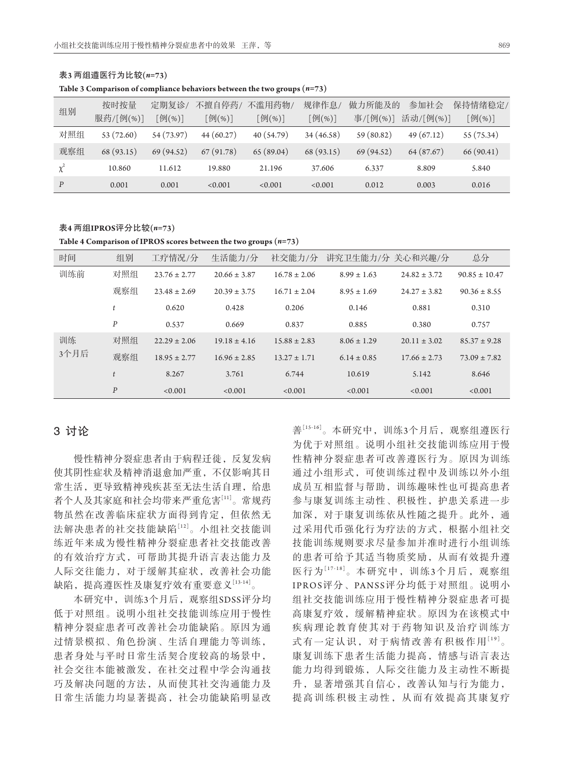| 组别       | 按时按量       | 定期复诊/      | 不擅自停药/        | 不滥用药物/              | 规律作息       | 做力所能及的    | 参加社会       | 保持情绪稳定/    |
|----------|------------|------------|---------------|---------------------|------------|-----------|------------|------------|
|          | 服药/[例(%)]  | [例(%)]     | [例(%)]        | $[\frac{1}{2}(\%)]$ | [例(%)]     | 事/[例(%)]  | 活动/[例(%)]  | [例(%)]     |
| 对照组      | 53 (72.60) | 54 (73.97) | 44 (60.27)    | 40 (54.79)          | 34 (46.58) | 59(80.82) | 49(67.12)  | 55 (75.34) |
| 观察组      | 68 (93.15) | 69 (94.52) | (91.78)<br>67 | 65(89.04)           | 68 (93.15) | 69(94.52) | 64 (87.67) | 66(90.41)  |
| $\chi^2$ | 10.860     | 11.612     | 19.880        | 21.196              | 37.606     | 6.337     | 8.809      | 5.840      |
| P        | 0.001      | 0.001      | < 0.001       | < 0.001             | < 0.001    | 0.012     | 0.003      | 0.016      |

表**3** 两组遵医行为比较**(***n=***73)**

**Table 3 Comparison of compliance behaviors between the two groups (***n=***73)**

表**4** 两组**IPROS**评分比较**(***n=***73)**

**Table 4 Comparison of IPROS scores between the two groups (***n=***73)**

| 时间   | 组别               | 工疗情况/分           | 生活能力/分           | 社交能力/分           | 讲究卫生能力/分 关心和兴趣/分 |                  | 总分                |
|------|------------------|------------------|------------------|------------------|------------------|------------------|-------------------|
| 训练前  | 对照组              | $23.76 \pm 2.77$ | $20.66 \pm 3.87$ | $16.78 \pm 2.06$ | $8.99 \pm 1.63$  | $24.82 \pm 3.72$ | $90.85 \pm 10.47$ |
|      | 观察组              | $23.48 \pm 2.69$ | $20.39 \pm 3.75$ | $16.71 \pm 2.04$ | $8.95 \pm 1.69$  | $24.27 \pm 3.82$ | $90.36 \pm 8.55$  |
|      |                  | 0.620            | 0.428            | 0.206            | 0.146            | 0.881            | 0.310             |
|      | $\boldsymbol{P}$ | 0.537            | 0.669            | 0.837            | 0.885            | 0.380            | 0.757             |
| 训练   | 对照组              | $22.29 \pm 2.06$ | $19.18 \pm 4.16$ | $15.88 \pm 2.83$ | $8.06 \pm 1.29$  | $20.11 \pm 3.02$ | $85.37 \pm 9.28$  |
| 3个月后 | 观察组              | $18.95 \pm 2.77$ | $16.96 \pm 2.85$ | $13.27 \pm 1.71$ | $6.14 \pm 0.85$  | $17.66 \pm 2.73$ | $73.09 \pm 7.82$  |
|      |                  | 8.267            | 3.761            | 6.744            | 10.619           | 5.142            | 8.646             |
|      | $\boldsymbol{P}$ | < 0.001          | < 0.001          | < 0.001          | < 0.001          | < 0.001          | < 0.001           |

# 3讨论

慢性精神分裂症患者由于病程迁徙,反复发病 使其阴性症状及精神消退愈加严重,不仅影响其日 常生活,更导致精神残疾甚至无法生活自理,给患 者个人及其家庭和社会均带来严重危害[11]。常规药 物虽然在改善临床症状方面得到肯定,但依然无 法解决患者的社交技能缺陷[12]。小组社交技能训 练近年来成为慢性精神分裂症患者社交技能改善 的有效治疗方式,可帮助其提升语言表达能力及 人际交往能力,对于缓解其症状,改善社会功能 缺陷,提高遵医性及康复疗效有重要意义[13-14]。

本研究中,训练3个月后,观察组SDSS评分均 低于对照组。说明小组社交技能训练应用于慢性 精神分裂症患者可改善社会功能缺陷。原因为通 过情景模拟、角色扮演、生活自理能力等训练, 患者身处与平时日常生活契合度较高的场景中, 社会交往本能被激发,在社交过程中学会沟通技 巧及解决问题的方法,从而使其社交沟通能力及 日常生活能力均显著提高,社会功能缺陷明显改

善[15-16]。本研究中,训练3个月后,观察组遵医行 为优于对照组。说明小组社交技能训练应用于慢 性精神分裂症患者可改善遵医行为。原因为训练 通过小组形式,可使训练过程中及训练以外小组 成员互相监督与帮助,训练趣味性也可提高患者 参与康复训练主动性、积极性,护患关系进一步 加深,对于康复训练依从性随之提升。此外,通 过采用代币强化行为疗法的方式,根据小组社交 技能训练规则要求尽量参加并准时进行小组训练 的患者可给予其适当物质奖励,从而有效提升遵 医行为[17-18]。本研究中,训练3个月后,观察组 IPROS评分、PANSS评分均低于对照组。说明小 组社交技能训练应用于慢性精神分裂症患者可提 高康复疗效,缓解精神症状。原因为在该模式中 疾病理论教育使其对于药物知识及治疗训练方 式有一定认识,对于病情改善有积极作用[19]。 康复训练下患者生活能力提高,情感与语言表达 能力均得到锻炼,人际交往能力及主动性不断提 升,显著增强其自信心,改善认知与行为能力, 提高训练积极主动性,从而有效提高其康复疗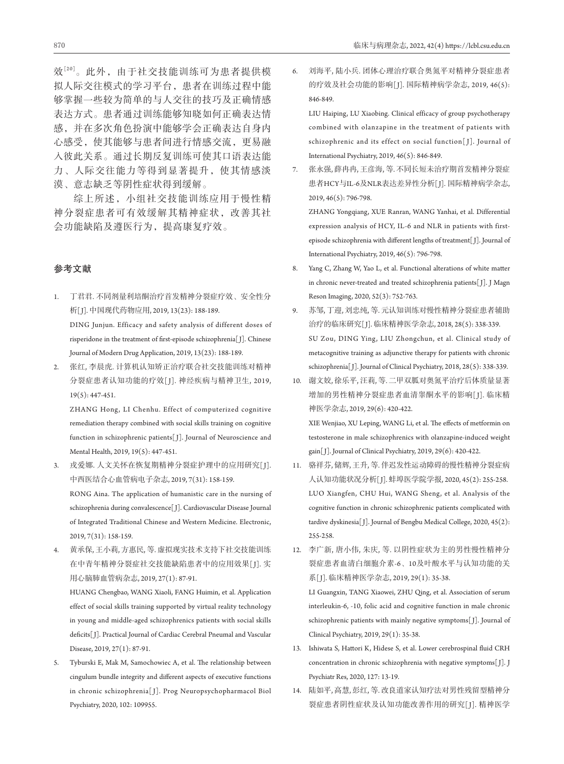效[20]。此外,由于社交技能训练可为患者提供模 拟人际交往模式的学习平台,患者在训练过程中能 够掌握一些较为简单的与人交往的技巧及正确情感 表达方式。患者通过训练能够知晓如何正确表达情 感,并在多次角色扮演中能够学会正确表达自身内 心感受,使其能够与患者间进行情感交流,更易融 入彼此关系。通过长期反复训练可使其口语表达能 力、人际交往能力等得到显著提升,使其情感淡 漠、意志缺乏等阴性症状得到缓解。

综上所述,小组社交技能训练应用于慢性精 神分裂症患者可有效缓解其精神症状,改善其社 会功能缺陷及遵医行为,提高康复疗效。

## 参考文献

- 1. 丁君君. 不同剂量利培酮治疗首发精神分裂症疗效、安全性分 析[ J]. 中国现代药物应用, 2019, 13(23): 188-189. DING Junjun. Efficacy and safety analysis of different doses of risperidone in the treatment of first-episode schizophrenia[ J]. Chinese Journal of Modern Drug Application, 2019, 13(23): 188-189.
- 2. 张红, 李晨虎. 计算机认知矫正治疗联合社交技能训练对精神 分裂症患者认知功能的疗效[ J]. 神经疾病与精神卫生, 2019, 19(5): 447-451.

ZHANG Hong, LI Chenhu. Effect of computerized cognitive remediation therapy combined with social skills training on cognitive function in schizophrenic patients[J]. Journal of Neuroscience and Mental Health, 2019, 19(5): 447-451.

- 3. 戎爱娜. 人文关怀在恢复期精神分裂症护理中的应用研究[J]. 中西医结合心血管病电子杂志, 2019, 7(31): 158-159. RONG Aina. The application of humanistic care in the nursing of schizophrenia during convalescence[ J]. Cardiovascular Disease Journal of Integrated Traditional Chinese and Western Medicine. Electronic, 2019, 7(31): 158-159.
- 4. 黄承保, 王小莉, 方惠民, 等. 虚拟现实技术支持下社交技能训练 在中青年精神分裂症社交技能缺陷患者中的应用效果[ J]. 实 用心脑肺血管病杂志, 2019, 27(1): 87-91.

 HUANG Chengbao, WANG Xiaoli, FANG Huimin, et al. Application effect of social skills training supported by virtual reality technology in young and middle-aged schizophrenics patients with social skills deficits[ J]. Practical Journal of Cardiac Cerebral Pneumal and Vascular Disease, 2019, 27(1): 87-91.

5. Tyburski E, Mak M, Samochowiec A, et al. The relationship between cingulum bundle integrity and different aspects of executive functions in chronic schizophrenia[ J]. Prog Neuropsychopharmacol Biol Psychiatry, 2020, 102: 109955.

6. 刘海平, 陆小兵. 团体心理治疗联合奥氮平对精神分裂症患者 的疗效及社会功能的影响[J]. 国际精神病学杂志, 2019, 46(5): 846-849.

 LIU Haiping, LU Xiaobing. Clinical efficacy of group psychotherapy combined with olanzapine in the treatment of patients with schizophrenic and its effect on social function[ J]. Journal of International Psychiatry, 2019, 46(5): 846-849.

7. 张永强, 薛冉冉, 王彦海, 等. 不同长短未治疗期首发精神分裂症 患者HCY与IL-6及NLR表达差异性分析[J]. 国际精神病学杂志, 2019, 46(5): 796-798.

 ZHANG Yongqiang, XUE Ranran, WANG Yanhai, et al. Differential expression analysis of HCY, IL-6 and NLR in patients with firstepisode schizophrenia with different lengths of treatment[ J]. Journal of International Psychiatry, 2019, 46(5): 796-798.

- 8. Yang C, Zhang W, Yao L, et al. Functional alterations of white matter in chronic never-treated and treated schizophrenia patients[ J]. J Magn Reson Imaging, 2020, 52(3): 752-763.
- 9. 苏邹, 丁迎, 刘忠纯, 等. 元认知训练对慢性精神分裂症患者辅助 治疗的临床研究[ J]. 临床精神医学杂志, 2018, 28(5): 338-339. SU Zou, DING Ying, LIU Zhongchun, et al. Clinical study of metacognitive training as adjunctive therapy for patients with chronic schizophrenia[ J]. Journal of Clinical Psychiatry, 2018, 28(5): 338-339.
- 10. 谢文姣, 徐乐平, 汪莉, 等. 二甲双胍对奥氮平治疗后体质量显著 增加的男性精神分裂症患者血清睾酮水平的影响[ J]. 临床精 神医学杂志, 2019, 29(6): 420-422. XIE Wenjiao, XU Leping, WANG Li, et al. The effects of metformin on

testosterone in male schizophrenics with olanzapine-induced weight gain[ J]. Journal of Clinical Psychiatry, 2019, 29(6): 420-422.

- 11. 骆祥芬, 储辉, 王升, 等. 伴迟发性运动障碍的慢性精神分裂症病 人认知功能状况分析[ J]. 蚌埠医学院学报, 2020, 45(2): 255-258. LUO Xiangfen, CHU Hui, WANG Sheng, et al. Analysis of the cognitive function in chronic schizophrenic patients complicated with tardive dyskinesia[ J]. Journal of Bengbu Medical College, 2020, 45(2): 255-258.
- 12. 李广新, 唐小伟, 朱庆, 等. 以阴性症状为主的男性慢性精神分 裂症患者血清白细胞介素-6、10及叶酸水平与认知功能的关 系[ J]. 临床精神医学杂志, 2019, 29(1): 35-38. LI Guangxin, TANG Xiaowei, ZHU Qing, et al. Association of serum interleukin-6, -10, folic acid and cognitive function in male chronic schizophrenic patients with mainly negative symptoms[J]. Journal of Clinical Psychiatry, 2019, 29(1): 35-38.
- 13. Ishiwata S, Hattori K, Hidese S, et al. Lower cerebrospinal fluid CRH concentration in chronic schizophrenia with negative symptoms[ J]. J Psychiatr Res, 2020, 127: 13-19.
- 14. 陆如平, 高慧, 彭红, 等. 改良道家认知疗法对男性残留型精神分 裂症患者阴性症状及认知功能改善作用的研究[ J]. 精神医学